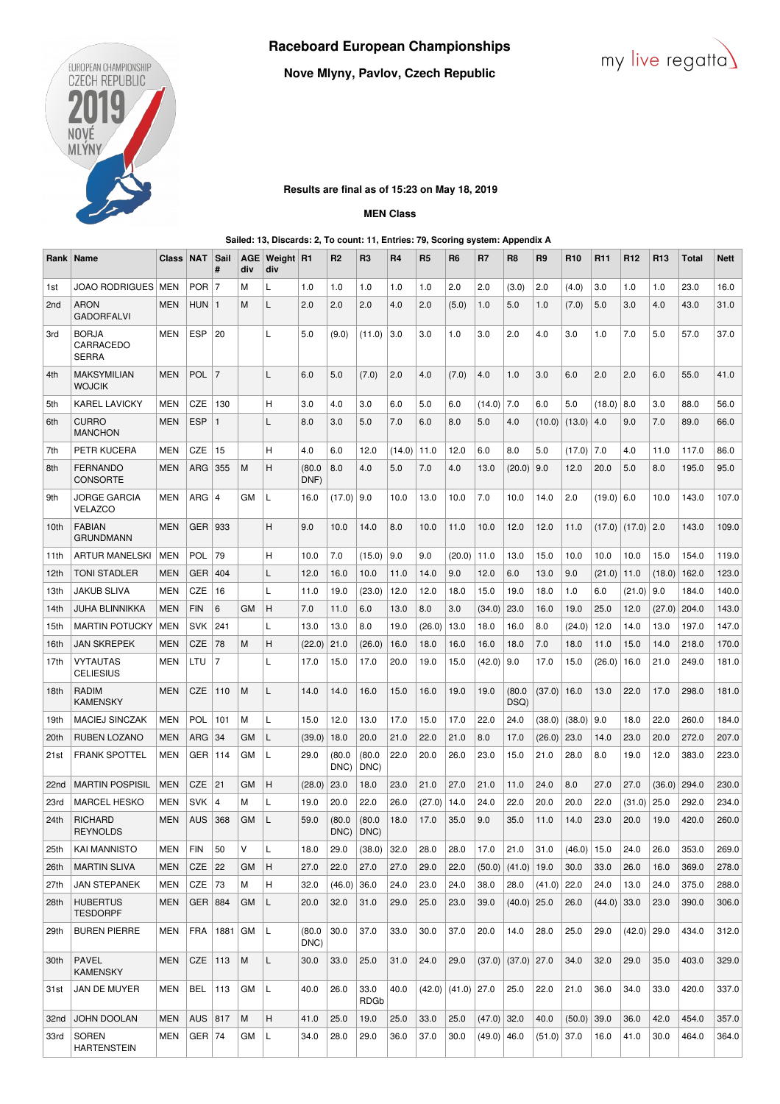

**Nove Mlyny, Pavlov, Czech Republic**



# **Results are final as of 15:23 on May 18, 2019**

# **MEN Class**

#### **Sailed: 13, Discards: 2, To count: 11, Entries: 79, Scoring system: Appendix A**

| Rank             | Name                                      | <b>Class</b> | <b>NAT</b> | Sail<br>#      | <b>AGE</b><br>div | Weight R1<br>div |                | R <sub>2</sub> | R <sub>3</sub>      | <b>R4</b>       | R <sub>5</sub> | R <sub>6</sub>         | R7            | R8             | R <sub>9</sub> | <b>R10</b> | R <sub>11</sub> | R <sub>12</sub> | R <sub>13</sub> | Total | <b>Nett</b> |
|------------------|-------------------------------------------|--------------|------------|----------------|-------------------|------------------|----------------|----------------|---------------------|-----------------|----------------|------------------------|---------------|----------------|----------------|------------|-----------------|-----------------|-----------------|-------|-------------|
| 1st              | <b>JOAO RODRIGUES</b>                     | <b>MEN</b>   | $POR$   7  |                | M                 | L                | 1.0            | 1.0            | 1.0                 | 1.0             | 1.0            | 2.0                    | 2.0           | (3.0)          | 2.0            | (4.0)      | 3.0             | 1.0             | 1.0             | 23.0  | 16.0        |
| 2 <sub>nd</sub>  | aron<br><b>GADORFALVI</b>                 | <b>MEN</b>   | HUN        | $\mathbf{1}$   | M                 | L                | 2.0            | 2.0            | 2.0                 | 4.0             | 2.0            | (5.0)                  | 1.0           | 5.0            | 1.0            | (7.0)      | 5.0             | 3.0             | 4.0             | 43.0  | 31.0        |
| 3rd              | <b>BORJA</b><br>CARRACEDO<br><b>SERRA</b> | <b>MEN</b>   | <b>ESP</b> | 20             |                   | L                | 5.0            | (9.0)          | (11.0)              | 3.0             | 3.0            | 1.0                    | 3.0           | 2.0            | 4.0            | 3.0        | 1.0             | 7.0             | 5.0             | 57.0  | 37.0        |
| 4th              | <b>MAKSYMILIAN</b><br>WOJCIK              | <b>MEN</b>   | <b>POL</b> | $\overline{7}$ |                   | L                | 6.0            | 5.0            | (7.0)               | 2.0             | 4.0            | (7.0)                  | 4.0           | 1.0            | 3.0            | 6.0        | 2.0             | 2.0             | 6.0             | 55.0  | 41.0        |
| 5th              | KAREL LAVICKY                             | <b>MEN</b>   | CZE        | 130            |                   | Η                | 3.0            | 4.0            | 3.0                 | 6.0             | 5.0            | 6.0                    | (14.0)        | 7.0            | 6.0            | 5.0        | (18.0)          | 8.0             | 3.0             | 88.0  | 56.0        |
| 6th              | CURRO<br><b>MANCHON</b>                   | <b>MEN</b>   | <b>ESP</b> | $\mathbf{1}$   |                   | L                | 8.0            | 3.0            | 5.0                 | 7.0             | 6.0            | 8.0                    | 5.0           | 4.0            | (10.0)         | (13.0)     | 4.0             | 9.0             | 7.0             | 89.0  | 66.0        |
| 7th              | PETR KUCERA                               | <b>MEN</b>   | CZE        | 15             |                   | H.               | 4.0            | 6.0            | 12.0                | $(14.0)$   11.0 |                | 12.0                   | 6.0           | 8.0            | 5.0            | (17.0)     | 7.0             | 4.0             | 11.0            | 117.0 | 86.0        |
| 8th              | FERNANDO<br><b>CONSORTE</b>               | <b>MEN</b>   | ARG        | 355            | M                 | Η                | (80.0)<br>DNF) | 8.0            | 4.0                 | 5.0             | 7.0            | 4.0                    | 13.0          | (20.0)         | 9.0            | 12.0       | 20.0            | 5.0             | 8.0             | 195.0 | 95.0        |
| 9th              | JORGE GARCIA<br>VELAZCO                   | <b>MEN</b>   | ARG   4    |                | GМ                | L                | 16.0           | (17.0)         | 9.0                 | 10.0            | 13.0           | 10.0                   | 7.0           | 10.0           | 14.0           | 2.0        | (19.0)          | 6.0             | 10.0            | 143.0 | 107.0       |
| 10th             | <b>FABIAN</b><br>GRUNDMANN                | <b>MEN</b>   | GER   933  |                |                   | H                | 9.0            | 10.0           | 14.0                | 8.0             | 10.0           | 11.0                   | 10.0          | 12.0           | 12.0           | 11.0       | (17.0)          | $(17.0)$ 2.0    |                 | 143.0 | 109.0       |
| 11th             | <b>ARTUR MANELSKI</b>                     | <b>MEN</b>   | POL        | 79             |                   | н                | 10.0           | 7.0            | (15.0)              | 9.0             | 9.0            | (20.0)                 | 11.0          | 13.0           | 15.0           | 10.0       | 10.0            | 10.0            | 15.0            | 154.0 | 119.0       |
| 12th             | <b>TONI STADLER</b>                       | <b>MEN</b>   | GER        | 404            |                   | L                | 12.0           | 16.0           | 10.0                | 11.0            | 14.0           | 9.0                    | 12.0          | 6.0            | 13.0           | 9.0        | (21.0)          | 11.0            | (18.0)          | 162.0 | 123.0       |
| 13th             | JAKUB SLIVA                               | MEN          | CZE        | 16             |                   | L                | 11.0           | 19.0           | (23.0)              | 12.0            | 12.0           | 18.0                   | 15.0          | 19.0           | 18.0           | 1.0        | 6.0             | (21.0)          | 9.0             | 184.0 | 140.0       |
| 14th             | JUHA BLINNIKKA                            | <b>MEN</b>   | <b>FIN</b> | 6              | GМ                | H                | 7.0            | 11.0           | 6.0                 | 13.0            | 8.0            | 3.0                    | (34.0)        | 23.0           | 16.0           | 19.0       | 25.0            | 12.0            | (27.0)          | 204.0 | 143.0       |
| 15th             | <b>MARTIN POTUCKY</b>                     | <b>MEN</b>   | <b>SVK</b> | 241            |                   | L                | 13.0           | 13.0           | 8.0                 | 19.0            | (26.0)         | 13.0                   | 18.0          | 16.0           | 8.0            | (24.0)     | 12.0            | 14.0            | 13.0            | 197.0 | 147.0       |
| 16th             | <b>JAN SKREPEK</b>                        | <b>MEN</b>   | CZE        | 78             | M                 | н                | (22.0)         | 21.0           | (26.0)              | 16.0            | 18.0           | 16.0                   | 16.0          | 18.0           | 7.0            | 18.0       | 11.0            | 15.0            | 14.0            | 218.0 | 170.0       |
| 17th             | VYTAUTAS<br>CELIESIUS                     | <b>MEN</b>   | LTU        | $\overline{7}$ |                   | L                | 17.0           | 15.0           | 17.0                | 20.0            | 19.0           | 15.0                   | (42.0)        | 9.0            | 17.0           | 15.0       | (26.0)          | 16.0            | 21.0            | 249.0 | 181.0       |
| 18th             | RADIM<br>KAMENSKY                         | <b>MEN</b>   | CZE        | 110            | M                 | L                | 14.0           | 14.0           | 16.0                | 15.0            | 16.0           | 19.0                   | 19.0          | (80.0)<br>DSQ) | (37.0)         | 16.0       | 13.0            | 22.0            | 17.0            | 298.0 | 181.0       |
| 19th             | <b>MACIEJ SINCZAK</b>                     | <b>MEN</b>   | <b>POL</b> | 101            | M                 | L                | 15.0           | 12.0           | 13.0                | 17.0            | 15.0           | 17.0                   | 22.0          | 24.0           | (38.0)         | (38.0)     | 9.0             | 18.0            | 22.0            | 260.0 | 184.0       |
| 20th             | RUBEN LOZANO                              | <b>MEN</b>   | ARG        | 34             | GM                | L                | (39.0)         | 18.0           | 20.0                | 21.0            | 22.0           | 21.0                   | 8.0           | 17.0           | (26.0)         | 23.0       | 14.0            | 23.0            | 20.0            | 272.0 | 207.0       |
| 21st             | <b>FRANK SPOTTEL</b>                      | MEN          | GER        | 114            | GМ                | L                | 29.0           | (80.0<br>DNC)  | (80.0)<br>DNC)      | 22.0            | 20.0           | 26.0                   | 23.0          | 15.0           | 21.0           | 28.0       | 8.0             | 19.0            | 12.0            | 383.0 | 223.0       |
| 22 <sub>nd</sub> | <b>MARTIN POSPISIL</b>                    | <b>MEN</b>   | <b>CZE</b> | 21             | GM                | H                | (28.0)         | 23.0           | 18.0                | 23.0            | 21.0           | 27.0                   | 21.0          | 11.0           | 24.0           | 8.0        | 27.0            | 27.0            | (36.0)          | 294.0 | 230.0       |
| 23rd             | <b>MARCEL HESKO</b>                       | <b>MEN</b>   | <b>SVK</b> | $\overline{4}$ | M                 | L                | 19.0           | 20.0           | 22.0                | 26.0            | (27.0)         | 14.0                   | 24.0          | 22.0           | 20.0           | 20.0       | 22.0            | (31.0)          | 25.0            | 292.0 | 234.0       |
| 24th             | <b>RICHARD</b><br><b>REYNOLDS</b>         | <b>MEN</b>   | <b>AUS</b> | 368            | GM                | L                | 59.0           | (80.0)<br>DNC) | (80.0)<br>DNC)      | 18.0            | 17.0           | 35.0                   | 9.0           | 35.0           | 11.0           | 14.0       | 23.0            | 20.0            | 19.0            | 420.0 | 260.0       |
| 25th             | <b>KAI MANNISTO</b>                       | <b>MEN</b>   | <b>FIN</b> | 50             | V                 | L                | 18.0           | 29.0           | (38.0)              | 32.0            | 28.0           | 28.0                   | 17.0          | 21.0           | 31.0           | (46.0)     | 15.0            | 24.0            | 26.0            | 353.0 | 269.0       |
| 26th             | <b>MARTIN SLIVA</b>                       | <b>MEN</b>   | CZE        | 22             | GМ                | н                | 27.0           | 22.0           | 27.0                | 27.0            | 29.0           | 22.0                   | (50.0)        | (41.0)         | 19.0           | 30.0       | 33.0            | 26.0            | 16.0            | 369.0 | 278.0       |
| 27th             | <b>JAN STEPANEK</b>                       | MEN          | CZE        | 73             | М                 | н                | 32.0           | (46.0)         | 36.0                | 24.0            | 23.0           | 24.0                   | 38.0          | 28.0           | (41.0)         | 22.0       | 24.0            | 13.0            | 24.0            | 375.0 | 288.0       |
| 28th             | <b>HUBERTUS</b><br>TESDORPF               | MEN          | GER   884  |                | GМ                | Г                | 20.0           | 32.0           | 31.0                | 29.0            | 25.0           | 23.0                   | 39.0          | (40.0)         | 25.0           | 26.0       | (44.0)          | 33.0            | 23.0            | 390.0 | 306.0       |
| 29th             | <b>BUREN PIERRE</b>                       | MEN          | <b>FRA</b> | 1881           | GМ                | L                | (80.0)<br>DNC) | 30.0           | 37.0                | 33.0            | 30.0           | 37.0                   | 20.0          | 14.0           | 28.0           | 25.0       | 29.0            | $(42.0)$ 29.0   |                 | 434.0 | 312.0       |
| 30th             | <b>PAVEL</b><br>KAMENSKY                  | <b>MEN</b>   | CZE        | 113            | M                 | Г                | 30.0           | 33.0           | 25.0                | 31.0            | 24.0           | 29.0                   | (37.0)        | (37.0) 27.0    |                | 34.0       | 32.0            | 29.0            | 35.0            | 403.0 | 329.0       |
| 31st             | JAN DE MUYER                              | MEN          | BEL        | 113            | GМ                | L                | 40.0           | 26.0           | 33.0<br><b>RDGb</b> | 40.0            |                | $(42.0)$ $(41.0)$ 27.0 |               | 25.0           | 22.0           | 21.0       | 36.0            | 34.0            | 33.0            | 420.0 | 337.0       |
| 32nd             | <b>JOHN DOOLAN</b>                        | <b>MEN</b>   | AUS   817  |                | M                 | H                | 41.0           | 25.0           | 19.0                | 25.0            | 33.0           | 25.0                   | $(47.0)$ 32.0 |                | 40.0           | (50.0)     | 39.0            | 36.0            | 42.0            | 454.0 | 357.0       |
| 33rd             | SOREN<br><b>HARTENSTEIN</b>               | <b>MEN</b>   | $GER$ 74   |                | GМ                | Г                | 34.0           | 28.0           | 29.0                | 36.0            | 37.0           | 30.0                   | $(49.0)$ 46.0 |                | $(51.0)$ 37.0  |            | 16.0            | 41.0            | 30.0            | 464.0 | 364.0       |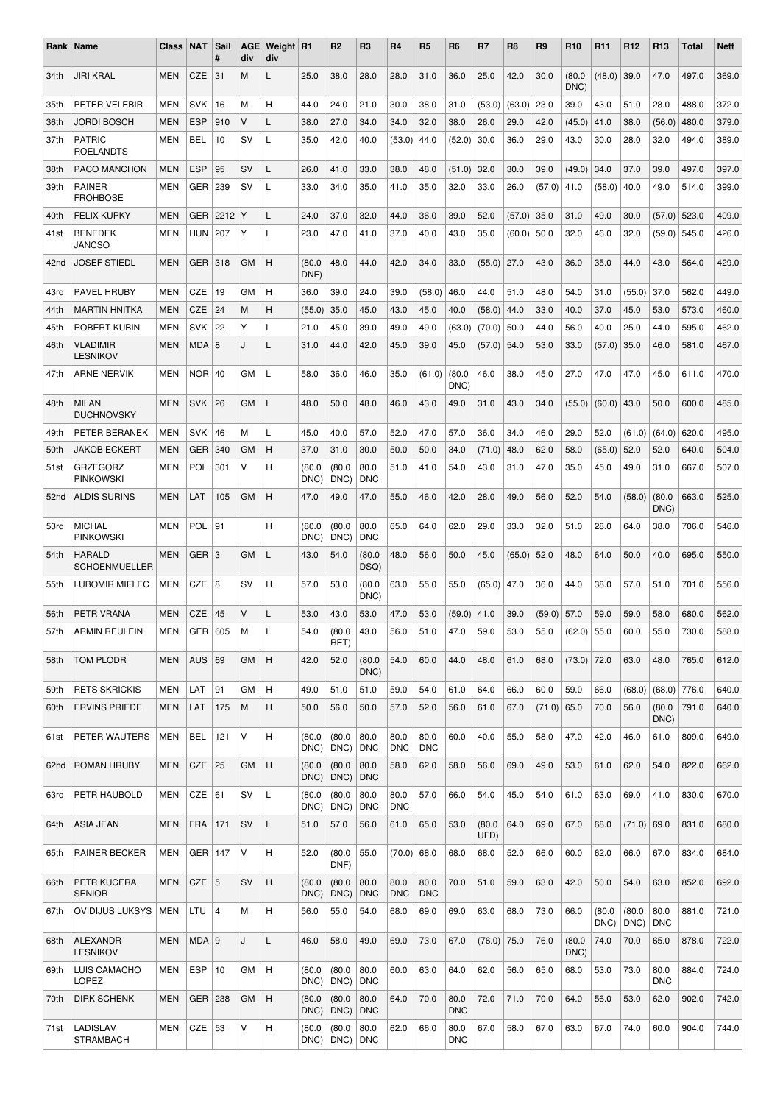| Rank             | Name                                  | Class      | <b>NAT</b>       | Sail<br>#      | AGE<br>div | Weight R1<br>div |                | R <sub>2</sub> | R <sub>3</sub>     | R4                 | R <sub>5</sub>     | R <sub>6</sub>     | R7             | R8     | R <sub>9</sub> | R <sub>10</sub> | R <sub>11</sub> | R <sub>12</sub> | R <sub>13</sub>    | Total | <b>Nett</b> |
|------------------|---------------------------------------|------------|------------------|----------------|------------|------------------|----------------|----------------|--------------------|--------------------|--------------------|--------------------|----------------|--------|----------------|-----------------|-----------------|-----------------|--------------------|-------|-------------|
| 34th             | <b>JIRI KRAL</b>                      | <b>MEN</b> | <b>CZE</b>       | 31             | M          | L                | 25.0           | 38.0           | 28.0               | 28.0               | 31.0               | 36.0               | 25.0           | 42.0   | 30.0           | (80.0)<br>DNC)  | (48.0)          | 39.0            | 47.0               | 497.0 | 369.0       |
| 35th             | PETER VELEBIR                         | <b>MEN</b> | <b>SVK</b>       | 16             | M          | н                | 44.0           | 24.0           | 21.0               | 30.0               | 38.0               | 31.0               | (53.0)         | (63.0) | 23.0           | 39.0            | 43.0            | 51.0            | 28.0               | 488.0 | 372.0       |
| 36th             | <b>JORDI BOSCH</b>                    | <b>MEN</b> | <b>ESP</b>       | 910            | v          | L                | 38.0           | 27.0           | 34.0               | 34.0               | 32.0               | 38.0               | 26.0           | 29.0   | 42.0           | (45.0)          | 41.0            | 38.0            | (56.0)             | 480.0 | 379.0       |
| 37th             | <b>PATRIC</b><br><b>ROELANDTS</b>     | MEN        | <b>BEL</b>       | 10             | SV         | L                | 35.0           | 42.0           | 40.0               | (53.0)             | 44.0               | (52.0)             | 30.0           | 36.0   | 29.0           | 43.0            | 30.0            | 28.0            | 32.0               | 494.0 | 389.0       |
| 38th             | PACO MANCHON                          | <b>MEN</b> | <b>ESP</b>       | 95             | SV         | L                | 26.0           | 41.0           | 33.0               | 38.0               | 48.0               | (51.0)             | 32.0           | 30.0   | 39.0           | (49.0)          | 34.0            | 37.0            | 39.0               | 497.0 | 397.0       |
| 39th             | <b>RAINER</b><br><b>FROHBOSE</b>      | MEN        | GER.             | 239            | SV         | L                | 33.0           | 34.0           | 35.0               | 41.0               | 35.0               | 32.0               | 33.0           | 26.0   | (57.0)         | 41.0            | (58.0)          | 40.0            | 49.0               | 514.0 | 399.0       |
| 40th             | <b>FELIX KUPKY</b>                    | <b>MEN</b> | <b>GER</b>       | 2212           | Y          | L                | 24.0           | 37.0           | 32.0               | 44.0               | 36.0               | 39.0               | 52.0           | (57.0) | 35.0           | 31.0            | 49.0            | 30.0            | (57.0)             | 523.0 | 409.0       |
| 41 <sub>st</sub> | <b>BENEDEK</b><br><b>JANCSO</b>       | <b>MEN</b> | <b>HUN</b>       | 207            | Υ          | L                | 23.0           | 47.0           | 41.0               | 37.0               | 40.0               | 43.0               | 35.0           | (60.0) | 50.0           | 32.0            | 46.0            | 32.0            | (59.0)             | 545.0 | 426.0       |
| 42nd             | <b>JOSEF STIEDL</b>                   | <b>MEN</b> | <b>GER</b>       | 318            | <b>GM</b>  | Η                | (80.0)<br>DNF) | 48.0           | 44.0               | 42.0               | 34.0               | 33.0               | (55.0)         | 27.0   | 43.0           | 36.0            | 35.0            | 44.0            | 43.0               | 564.0 | 429.0       |
| 43rd             | PAVEL HRUBY                           | <b>MEN</b> | CZE              | 19             | GМ         | н                | 36.0           | 39.0           | 24.0               | 39.0               | (58.0)             | 46.0               | 44.0           | 51.0   | 48.0           | 54.0            | 31.0            | (55.0)          | 37.0               | 562.0 | 449.0       |
| 44th             | <b>MARTIN HNITKA</b>                  | <b>MEN</b> | <b>CZE</b>       | 24             | M          | н                | (55.0)         | 35.0           | 45.0               | 43.0               | 45.0               | 40.0               | (58.0)         | 44.0   | 33.0           | 40.0            | 37.0            | 45.0            | 53.0               | 573.0 | 460.0       |
| 45th             | <b>ROBERT KUBIN</b>                   | MEN        | <b>SVK</b>       | 22             | Υ          | L                | 21.0           | 45.0           | 39.0               | 49.0               | 49.0               | (63.0)             | (70.0)         | 50.0   | 44.0           | 56.0            | 40.0            | 25.0            | 44.0               | 595.0 | 462.0       |
| 46th             | <b>VLADIMIR</b><br><b>LESNIKOV</b>    | <b>MEN</b> | MDA   8          |                | J          | L                | 31.0           | 44.0           | 42.0               | 45.0               | 39.0               | 45.0               | (57.0)         | 54.0   | 53.0           | 33.0            | (57.0)          | 35.0            | 46.0               | 581.0 | 467.0       |
| 47th             | <b>ARNE NERVIK</b>                    | MEN        | <b>NOR</b>       | 40             | GМ         | L                | 58.0           | 36.0           | 46.0               | 35.0               | (61.0)             | (80.0)<br>DNC)     | 46.0           | 38.0   | 45.0           | 27.0            | 47.0            | 47.0            | 45.0               | 611.0 | 470.0       |
| 48th             | <b>MILAN</b><br><b>DUCHNOVSKY</b>     | <b>MEN</b> | <b>SVK</b>       | 26             | GМ         | L                | 48.0           | 50.0           | 48.0               | 46.0               | 43.0               | 49.0               | 31.0           | 43.0   | 34.0           | (55.0)          | (60.0)          | 43.0            | 50.0               | 600.0 | 485.0       |
| 49th             | PETER BERANEK                         | MEN        | <b>SVK</b>       | 46             | М          | L                | 45.0           | 40.0           | 57.0               | 52.0               | 47.0               | 57.0               | 36.0           | 34.0   | 46.0           | 29.0            | 52.0            | (61.0)          | (64.0)             | 620.0 | 495.0       |
| 50th             | <b>JAKOB ECKERT</b>                   | <b>MEN</b> | <b>GER</b>       | 340            | <b>GM</b>  | н                | 37.0           | 31.0           | 30.0               | 50.0               | 50.0               | 34.0               | (71.0)         | 48.0   | 62.0           | 58.0            | (65.0)          | 52.0            | 52.0               | 640.0 | 504.0       |
| 51 <sub>st</sub> | <b>GRZEGORZ</b><br><b>PINKOWSKI</b>   | <b>MEN</b> | POL              | 301            | V          | н                | (80.0)<br>DNC) | (80.0)<br>DNC) | 80.0<br><b>DNC</b> | 51.0               | 41.0               | 54.0               | 43.0           | 31.0   | 47.0           | 35.0            | 45.0            | 49.0            | 31.0               | 667.0 | 507.0       |
| 52 <sub>nd</sub> | <b>ALDIS SURINS</b>                   | <b>MEN</b> | LAT              | 105            | GM         | Η                | 47.0           | 49.0           | 47.0               | 55.0               | 46.0               | 42.0               | 28.0           | 49.0   | 56.0           | 52.0            | 54.0            | (58.0)          | (80.0)<br>DNC)     | 663.0 | 525.0       |
| 53rd             | <b>MICHAL</b><br><b>PINKOWSKI</b>     | <b>MEN</b> | <b>POL</b>       | 91             |            | н                | (80.0)<br>DNC) | (80.0)<br>DNC) | 80.0<br><b>DNC</b> | 65.0               | 64.0               | 62.0               | 29.0           | 33.0   | 32.0           | 51.0            | 28.0            | 64.0            | 38.0               | 706.0 | 546.0       |
| 54th             | <b>HARALD</b><br><b>SCHOENMUELLER</b> | <b>MEN</b> | GER   3          |                | <b>GM</b>  | L                | 43.0           | 54.0           | (80.0)<br>DSQ)     | 48.0               | 56.0               | 50.0               | 45.0           | (65.0) | 52.0           | 48.0            | 64.0            | 50.0            | 40.0               | 695.0 | 550.0       |
| 55th             | <b>LUBOMIR MIELEC</b>                 | MEN        | CZE $ 8$         |                | SV         | н                | 57.0           | 53.0           | (80.0)<br>DNC)     | 63.0               | 55.0               | 55.0               | (65.0)         | 47.0   | 36.0           | 44.0            | 38.0            | 57.0            | 51.0               | 701.0 | 556.0       |
| 56th             | PETR VRANA                            | MEN        | <b>CZE</b>       | 45             | V          | L                | 53.0           | 43.0           | 53.0               | 47.0               | 53.0               | (59.0)             | 41.0           | 39.0   | (59.0)         | 57.0            | 59.0            | 59.0            | 58.0               | 680.0 | 562.0       |
| 57th             | <b>ARMIN REULEIN</b>                  | MEN        | GER   605        |                | M          | L                | 54.0           | (80.0)<br>RET) | 43.0               | 56.0               | 51.0               | 47.0               | 59.0           | 53.0   | 55.0           | $(62.0)$ 55.0   |                 | 60.0            | 55.0               | 730.0 | 588.0       |
| 58th             | TOM PLODR                             | <b>MEN</b> | <b>AUS</b>       | 69             | <b>GM</b>  | Η                | 42.0           | 52.0           | (80.0)<br>DNC)     | 54.0               | 60.0               | 44.0               | 48.0           | 61.0   | 68.0           | $(73.0)$ 72.0   |                 | 63.0            | 48.0               | 765.0 | 612.0       |
| 59th             | <b>RETS SKRICKIS</b>                  | <b>MEN</b> | <b>LAT</b>       | 91             | <b>GM</b>  | н                | 49.0           | 51.0           | 51.0               | 59.0               | 54.0               | 61.0               | 64.0           | 66.0   | 60.0           | 59.0            | 66.0            | (68.0)          | $(68.0)$ 776.0     |       | 640.0       |
| 60th             | <b>ERVINS PRIEDE</b>                  | <b>MEN</b> | LAT              | 175            | M          | н                | 50.0           | 56.0           | 50.0               | 57.0               | 52.0               | 56.0               | 61.0           | 67.0   | (71.0)         | 65.0            | 70.0            | 56.0            | (80.0)<br>DNC)     | 791.0 | 640.0       |
| 61st             | PETER WAUTERS                         | <b>MEN</b> | BEL              | 121            | V          | н                | (80.0)<br>DNC) | (80.0)<br>DNC) | 80.0<br><b>DNC</b> | 80.0<br><b>DNC</b> | 80.0<br><b>DNC</b> | 60.0               | 40.0           | 55.0   | 58.0           | 47.0            | 42.0            | 46.0            | 61.0               | 809.0 | 649.0       |
| 62nd             | <b>ROMAN HRUBY</b>                    | <b>MEN</b> | CZE              | 25             | GМ         | н                | (80.0)<br>DNC) | (80.0)<br>DNC) | 80.0<br><b>DNC</b> | 58.0               | 62.0               | 58.0               | 56.0           | 69.0   | 49.0           | 53.0            | 61.0            | 62.0            | 54.0               | 822.0 | 662.0       |
| 63rd             | PETR HAUBOLD                          | MEN        | CZE              | 61             | SV         | L                | (80.0)<br>DNC) | (80.0)<br>DNC) | 80.0<br><b>DNC</b> | 80.0<br><b>DNC</b> | 57.0               | 66.0               | 54.0           | 45.0   | 54.0           | 61.0            | 63.0            | 69.0            | 41.0               | 830.0 | 670.0       |
| 64th             | ASIA JEAN                             | <b>MEN</b> | <b>FRA</b>       | 171            | SV         | L                | 51.0           | 57.0           | 56.0               | 61.0               | 65.0               | 53.0               | (80.0)<br>UFD) | 64.0   | 69.0           | 67.0            | 68.0            | $(71.0)$ 69.0   |                    | 831.0 | 680.0       |
| 65th             | <b>RAINER BECKER</b>                  | MEN        | GER <sup> </sup> | 147            | V          | н                | 52.0           | (80.0)<br>DNF) | 55.0               | (70.0)             | 68.0               | 68.0               | 68.0           | 52.0   | 66.0           | 60.0            | 62.0            | 66.0            | 67.0               | 834.0 | 684.0       |
| 66th             | PETR KUCERA<br><b>SENIOR</b>          | <b>MEN</b> | CZE $ 5$         |                | SV         | н                | (80.0)<br>DNC) | (80.0)<br>DNC) | 80.0<br><b>DNC</b> | 80.0<br><b>DNC</b> | 80.0<br><b>DNC</b> | 70.0               | 51.0           | 59.0   | 63.0           | 42.0            | 50.0            | 54.0            | 63.0               | 852.0 | 692.0       |
| 67th             | <b>OVIDIJUS LUKSYS</b>                | <b>MEN</b> | LTU              | $\overline{4}$ | М          | н                | 56.0           | 55.0           | 54.0               | 68.0               | 69.0               | 69.0               | 63.0           | 68.0   | 73.0           | 66.0            | (80.0)<br>DNC)  | (80.0)<br>DNC)  | 80.0<br><b>DNC</b> | 881.0 | 721.0       |
| 68th             | <b>ALEXANDR</b><br><b>LESNIKOV</b>    | <b>MEN</b> | MDA   9          |                | J          | Г                | 46.0           | 58.0           | 49.0               | 69.0               | 73.0               | 67.0               | $(76.0)$ 75.0  |        | 76.0           | (80.0)<br>DNC)  | 74.0            | 70.0            | 65.0               | 878.0 | 722.0       |
| 69th             | LUIS CAMACHO<br>LOPEZ                 | <b>MEN</b> | <b>ESP</b>       | 10             | GМ         | н                | (80.0)<br>DNC) | (80.0)<br>DNC) | 80.0<br><b>DNC</b> | 60.0               | 63.0               | 64.0               | 62.0           | 56.0   | 65.0           | 68.0            | 53.0            | 73.0            | 80.0<br><b>DNC</b> | 884.0 | 724.0       |
| 70th             | <b>DIRK SCHENK</b>                    | MEN        | GER              | 238            | <b>GM</b>  | н                | (80.0)<br>DNC) | (80.0)<br>DNC) | 80.0<br><b>DNC</b> | 64.0               | 70.0               | 80.0<br><b>DNC</b> | 72.0           | 71.0   | 70.0           | 64.0            | 56.0            | 53.0            | 62.0               | 902.0 | 742.0       |
| 71st             | LADISLAV<br><b>STRAMBACH</b>          | MEN        | CZE              | 53             | V          | н                | (80.0)<br>DNC) | (80.0)<br>DNC) | 80.0<br><b>DNC</b> | 62.0               | 66.0               | 80.0<br><b>DNC</b> | 67.0           | 58.0   | 67.0           | 63.0            | 67.0            | 74.0            | 60.0               | 904.0 | 744.0       |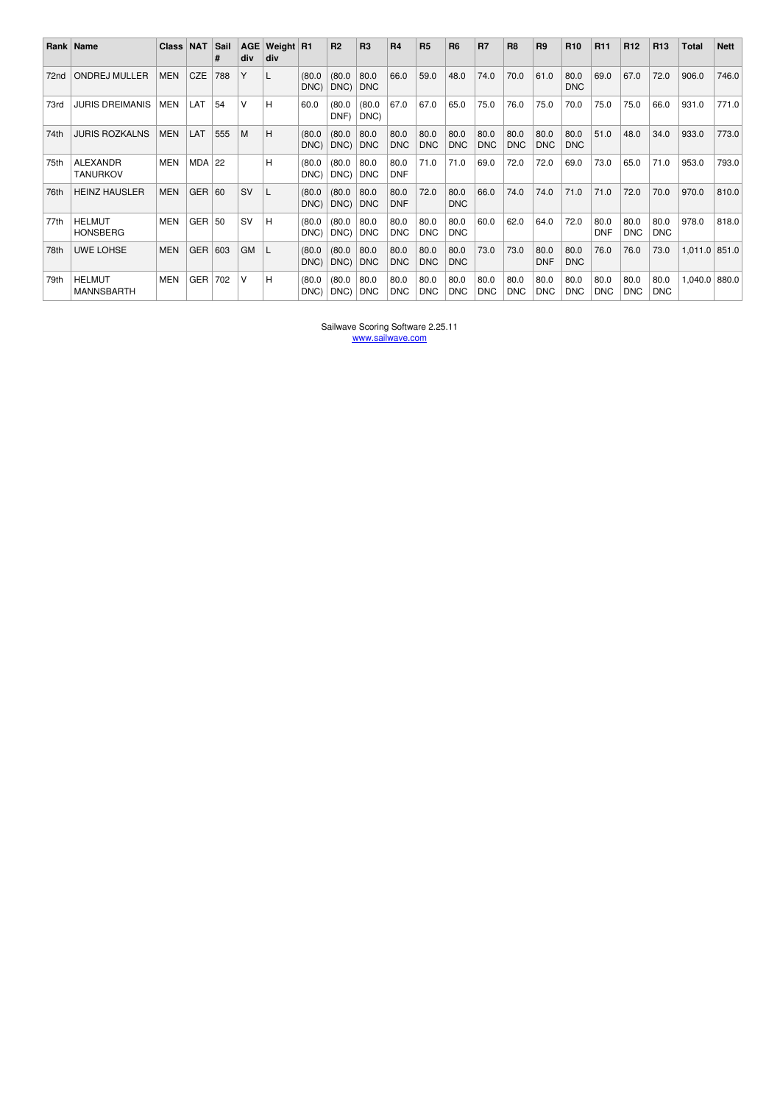|                  | Rank   Name                        | <b>Class</b> | <b>NAT</b> | Sail<br># | <b>AGE</b><br>div | Weight R1<br>div |                | R <sub>2</sub> | <b>R3</b>          | <b>R4</b>          | <b>R5</b>          | <b>R6</b>          | <b>R7</b>          | R <sub>8</sub>     | R <sub>9</sub>     | R <sub>10</sub>    | R <sub>11</sub>    | R <sub>12</sub>    | R <sub>13</sub>    | Total           | <b>Nett</b> |
|------------------|------------------------------------|--------------|------------|-----------|-------------------|------------------|----------------|----------------|--------------------|--------------------|--------------------|--------------------|--------------------|--------------------|--------------------|--------------------|--------------------|--------------------|--------------------|-----------------|-------------|
| 72 <sub>nd</sub> | <b>ONDREJ MULLER</b>               | <b>MEN</b>   | <b>CZE</b> | 788       | Υ                 |                  | (80.0)<br>DNC) | (80.0)<br>DNC) | 80.0<br><b>DNC</b> | 66.0               | 59.0               | 48.0               | 74.0               | 70.0               | 61.0               | 80.0<br><b>DNC</b> | 69.0               | 67.0               | 72.0               | 906.0           | 746.0       |
| 73rd             | <b>JURIS DREIMANIS</b>             | <b>MEN</b>   | LAT        | 54        | $\vee$            | н                | 60.0           | (80.0)<br>DNF) | (80.0)<br>DNC)     | 67.0               | 67.0               | 65.0               | 75.0               | 76.0               | 75.0               | 70.0               | 75.0               | 75.0               | 66.0               | 931.0           | 771.0       |
| 74th             | <b>JURIS ROZKALNS</b>              | <b>MEN</b>   | LAT        | 555       | M                 | H                | (80.0)<br>DNC) | (80.0)<br>DNC) | 80.0<br><b>DNC</b> | 80.0<br><b>DNC</b> | 80.0<br><b>DNC</b> | 80.0<br><b>DNC</b> | 80.0<br><b>DNC</b> | 80.0<br><b>DNC</b> | 80.0<br><b>DNC</b> | 80.0<br><b>DNC</b> | 51.0               | 48.0               | 34.0               | 933.0           | 773.0       |
| 75th             | <b>ALEXANDR</b><br><b>TANURKOV</b> | <b>MEN</b>   | <b>MDA</b> | 22        |                   | н                | (80.0)<br>DNC) | (80.0)<br>DNC) | 80.0<br><b>DNC</b> | 80.0<br><b>DNF</b> | 71.0               | 71.0               | 69.0               | 72.0               | 72.0               | 69.0               | 73.0               | 65.0               | 71.0               | 953.0           | 793.0       |
| 76th             | <b>HEINZ HAUSLER</b>               | <b>MEN</b>   | <b>GER</b> | 60        | <b>SV</b>         |                  | (80.0)<br>DNC) | (80.0)<br>DNC) | 80.0<br><b>DNC</b> | 80.0<br><b>DNF</b> | 72.0               | 80.0<br><b>DNC</b> | 66.0               | 74.0               | 74.0               | 71.0               | 71.0               | 72.0               | 70.0               | 970.0           | 810.0       |
| 77th             | <b>HELMUT</b><br><b>HONSBERG</b>   | MEN          | GER        | 50        | <b>SV</b>         | н                | (80.0)<br>DNC) | (80.0)<br>DNC) | 80.0<br><b>DNC</b> | 80.0<br><b>DNC</b> | 80.0<br><b>DNC</b> | 80.0<br><b>DNC</b> | 60.0               | 62.0               | 64.0               | 72.0               | 80.0<br><b>DNF</b> | 80.0<br><b>DNC</b> | 80.0<br><b>DNC</b> | 978.0           | 818.0       |
| 78th             | <b>UWE LOHSE</b>                   | <b>MEN</b>   | <b>GER</b> | 603       | <b>GM</b>         |                  | (80.0)<br>DNC) | (80.0)<br>DNC) | 80.0<br><b>DNC</b> | 80.0<br><b>DNC</b> | 80.0<br><b>DNC</b> | 80.0<br><b>DNC</b> | 73.0               | 73.0               | 80.0<br><b>DNF</b> | 80.0<br><b>DNC</b> | 76.0               | 76.0               | 73.0               | $1,011.0$ 851.0 |             |
| 79th             | <b>HELMUT</b><br><b>MANNSBARTH</b> | <b>MEN</b>   | <b>GER</b> | 702       | V                 | н                | (80.0<br>DNC)  | (80.0)<br>DNC) | 80.0<br><b>DNC</b> | 80.0<br><b>DNC</b> | 80.0<br><b>DNC</b> | 80.0<br><b>DNC</b> | 80.0<br><b>DNC</b> | 80.0<br><b>DNC</b> | 80.0<br><b>DNC</b> | 80.0<br><b>DNC</b> | 80.0<br><b>DNC</b> | 80.0<br><b>DNC</b> | 80.0<br><b>DNC</b> | $1,040.0$ 880.0 |             |

Sailwave Scoring Software 2.25.11 www.sailwave.com